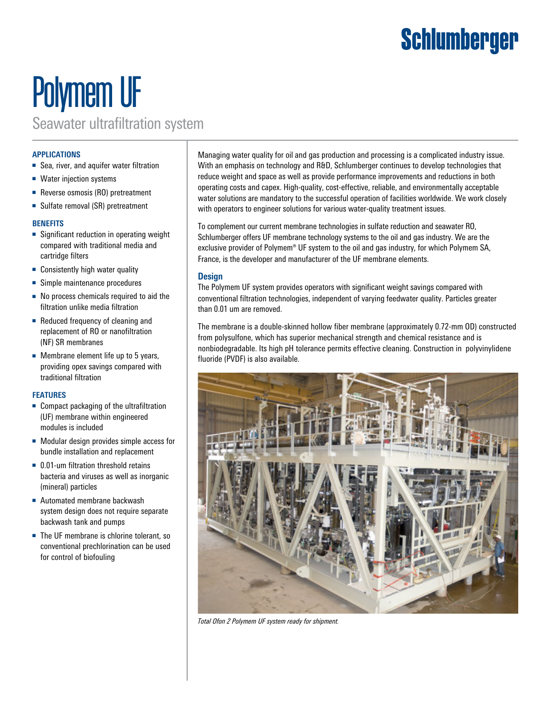### Schlumberger

# Polymem UF

Seawater ultrafiltration system

### **APPLICATIONS**

- Sea, river, and aquifer water filtration
- Water injection systems
- Reverse osmosis (RO) pretreatment
- Sulfate removal (SR) pretreatment

### **BENEFITS**

- Significant reduction in operating weight compared with traditional media and cartridge filters
- Consistently high water quality
- Simple maintenance procedures
- No process chemicals required to aid the filtration unlike media filtration
- Reduced frequency of cleaning and replacement of RO or nanofiltration (NF) SR membranes
- Membrane element life up to 5 years, providing opex savings compared with traditional filtration

#### **FEATURES**

- Compact packaging of the ultrafiltration (UF) membrane within engineered modules is included
- Modular design provides simple access for bundle installation and replacement
- 0.01-um filtration threshold retains bacteria and viruses as well as inorganic (mineral) particles
- Automated membrane backwash system design does not require separate backwash tank and pumps
- The UF membrane is chlorine tolerant, so conventional prechlorination can be used for control of biofouling

Managing water quality for oil and gas production and processing is a complicated industry issue. With an emphasis on technology and R&D, Schlumberger continues to develop technologies that reduce weight and space as well as provide performance improvements and reductions in both operating costs and capex. High-quality, cost-effective, reliable, and environmentally acceptable water solutions are mandatory to the successful operation of facilities worldwide. We work closely with operators to engineer solutions for various water-quality treatment issues.

To complement our current membrane technologies in sulfate reduction and seawater RO, Schlumberger offers UF membrane technology systems to the oil and gas industry. We are the exclusive provider of Polymem® UF system to the oil and gas industry, for which Polymem SA, France, is the developer and manufacturer of the UF membrane elements.

### **Design**

The Polymem UF system provides operators with significant weight savings compared with conventional filtration technologies, independent of varying feedwater quality. Particles greater than 0.01 um are removed.

The membrane is a double-skinned hollow fiber membrane (approximately 0.72-mm OD) constructed from polysulfone, which has superior mechanical strength and chemical resistance and is nonbiodegradable. Its high pH tolerance permits effective cleaning. Construction in polyvinylidene fluoride (PVDF) is also available.



*Total Ofon 2 Polymem UF system ready for shipment.*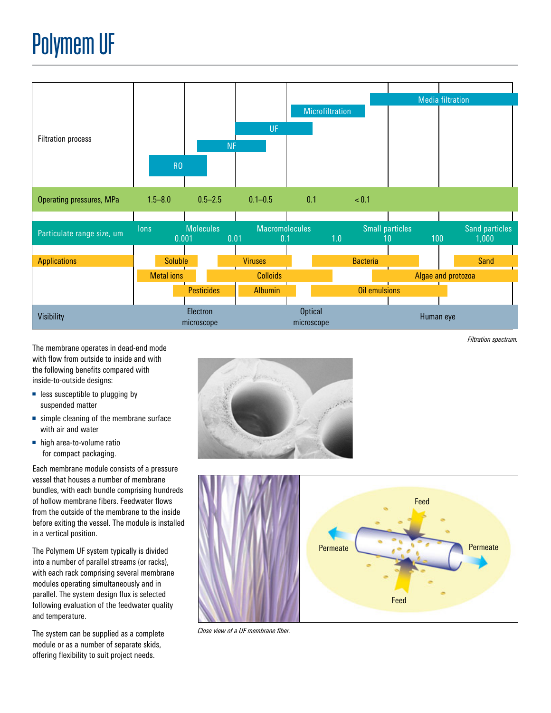

The membrane operates in dead-end mode with flow from outside to inside and with the following benefits compared with inside-to-outside designs:

- less susceptible to plugging by suspended matter
- simple cleaning of the membrane surface with air and water
- high area-to-volume ratio for compact packaging.

Each membrane module consists of a pressure vessel that houses a number of membrane bundles, with each bundle comprising hundreds of hollow membrane fibers. Feedwater flows from the outside of the membrane to the inside before exiting the vessel. The module is installed in a vertical position.

The Polymem UF system typically is divided into a number of parallel streams (or racks), with each rack comprising several membrane modules operating simultaneously and in parallel. The system design flux is selected following evaluation of the feedwater quality and temperature.

The system can be supplied as a complete module or as a number of separate skids, offering flexibility to suit project needs.



*Filtration spectrum.*



*Close view of a UF membrane fiber.*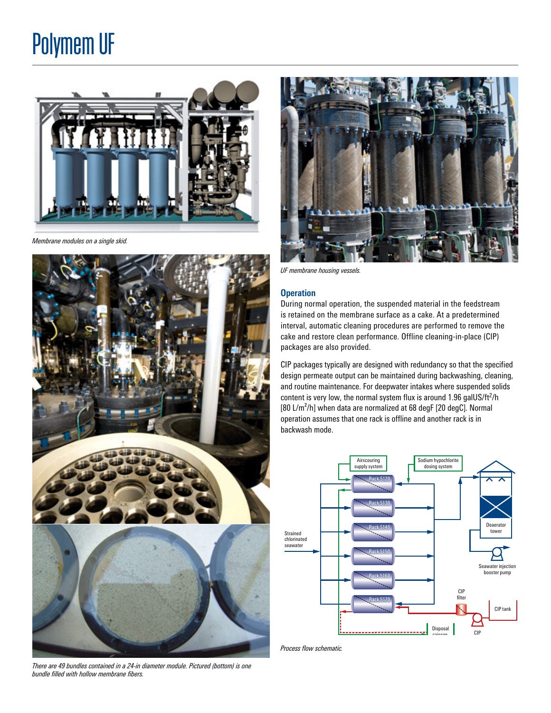### Polymem UF



*Membrane modules on a single skid.*



*There are 49 bundles contained in a 24-in diameter module. Pictured (bottom) is one bundle filled with hollow membrane fibers.*



*UF membrane housing vessels.*

#### **Operation**

During normal operation, the suspended material in the feedstream is retained on the membrane surface as a cake. At a predetermined interval, automatic cleaning procedures are performed to remove the cake and restore clean performance. Offline cleaning-in-place (CIP) packages are also provided.

CIP packages typically are designed with redundancy so that the specified design permeate output can be maintained during backwashing, cleaning, and routine maintenance. For deepwater intakes where suspended solids content is very low, the normal system flux is around  $1.96$  galUS/ft<sup>2</sup>/h  $[80 \text{ L/m}^2/\text{h}]$  when data are normalized at 68 degF  $[20 \text{ degC}]$ . Normal operation assumes that one rack is offline and another rack is in backwash mode.



*Process flow schematic.*